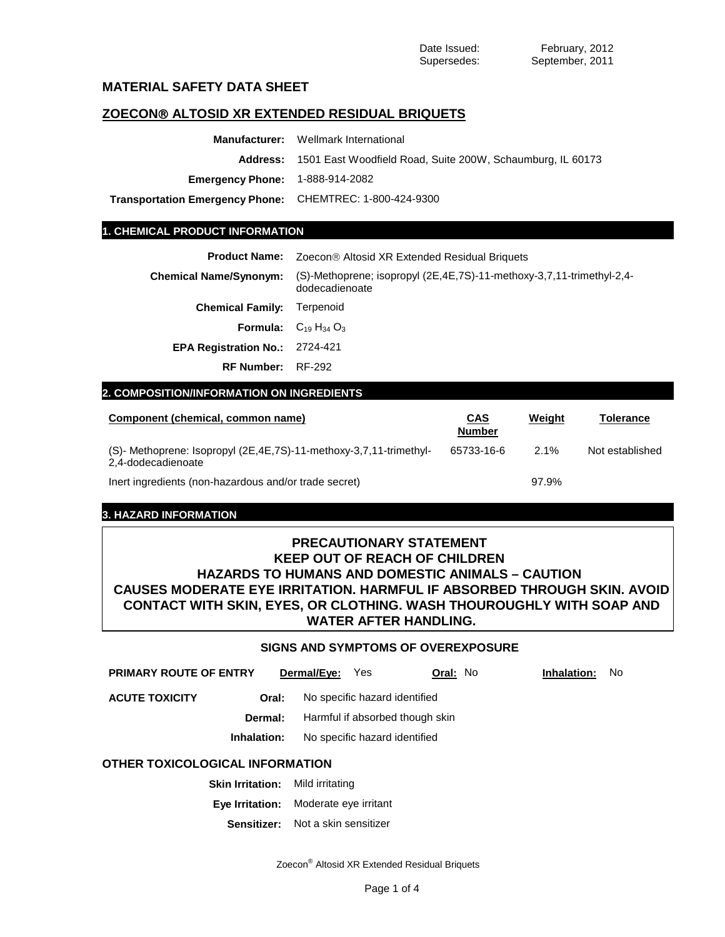# **MATERIAL SAFETY DATA SHEET**

# **ZOECON ALTOSID XR EXTENDED RESIDUAL BRIQUETS**

| <b>Manufacturer:</b> Wellmark International                                |  |  |
|----------------------------------------------------------------------------|--|--|
| <b>Address:</b> 1501 East Woodfield Road, Suite 200W, Schaumburg, IL 60173 |  |  |
| <b>Emergency Phone:</b> 1-888-914-2082                                     |  |  |
| Transportation Emergency Phone: CHEMTREC: 1-800-424-9300                   |  |  |
|                                                                            |  |  |

## **1. CHEMICAL PRODUCT INFORMATION**

Product Name: Zoecon<sup>®</sup> Altosid XR Extended Residual Briquets

| <b>Chemical Name/Synonym:</b>         | (S)-Methoprene; isopropyl (2E,4E,7S)-11-methoxy-3,7,11-trimethyl-2,4-<br>dodecadienoate |
|---------------------------------------|-----------------------------------------------------------------------------------------|
| <b>Chemical Family: Terpenoid</b>     |                                                                                         |
|                                       | <b>Formula:</b> $C_{19}$ H <sub>34</sub> O <sub>3</sub>                                 |
| <b>EPA Registration No.: 2724-421</b> |                                                                                         |
| <b>RF Number: RF-292</b>              |                                                                                         |

# **2. COMPOSITION/INFORMATION ON INGREDIENTS**

| Component (chemical, common name)                                                            | <u>CAS</u><br><b>Number</b> | Weight  | Tolerance       |
|----------------------------------------------------------------------------------------------|-----------------------------|---------|-----------------|
| (S)- Methoprene: Isopropyl (2E, 4E, 7S)-11-methoxy-3, 7, 11-trimethyl-<br>2,4-dodecadienoate | 65733-16-6                  | $2.1\%$ | Not established |
| Inert ingredients (non-hazardous and/or trade secret)                                        |                             | 97.9%   |                 |

# **3. HAZARD INFORMATION**

# **PRECAUTIONARY STATEMENT KEEP OUT OF REACH OF CHILDREN HAZARDS TO HUMANS AND DOMESTIC ANIMALS – CAUTION CAUSES MODERATE EYE IRRITATION. HARMFUL IF ABSORBED THROUGH SKIN. AVOID CONTACT WITH SKIN, EYES, OR CLOTHING. WASH THOUROUGHLY WITH SOAP AND WATER AFTER HANDLING.**

# **SIGNS AND SYMPTOMS OF OVEREXPOSURE**

| <b>PRIMARY ROUTE OF ENTRY</b>   |                                              | Dermal/Eye: | Yes | <b>Oral: No</b>                 |  | Inhalation: | No. |
|---------------------------------|----------------------------------------------|-------------|-----|---------------------------------|--|-------------|-----|
| <b>ACUTE TOXICITY</b>           | Oral:                                        |             |     | No specific hazard identified   |  |             |     |
|                                 | Dermal:                                      |             |     | Harmful if absorbed though skin |  |             |     |
|                                 | No specific hazard identified<br>Inhalation: |             |     |                                 |  |             |     |
| OTHER TOXICOLOGICAL INFORMATION |                                              |             |     |                                 |  |             |     |

- **Eye Irritation:** Moderate eye irritant
	- **Sensitizer:** Not a skin sensitizer

Zoecon® Altosid XR Extended Residual Briquets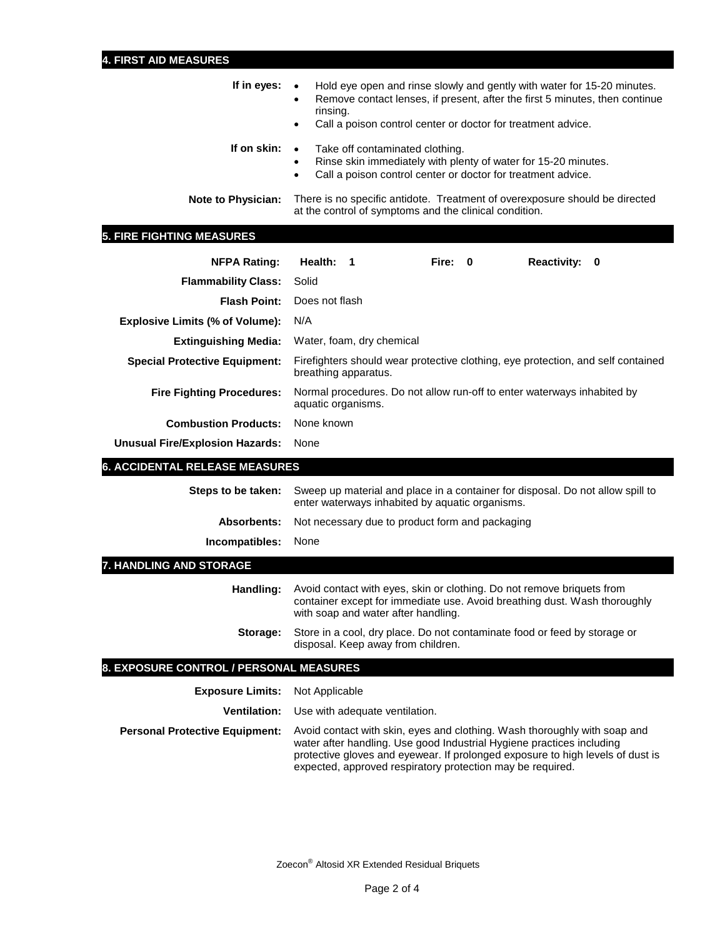| If in eyes: $\bullet$ | Hold eye open and rinse slowly and gently with water for 15-20 minutes.<br>Remove contact lenses, if present, after the first 5 minutes, then continue<br>٠<br>rinsing.<br>Call a poison control center or doctor for treatment advice.<br>$\bullet$ |
|-----------------------|------------------------------------------------------------------------------------------------------------------------------------------------------------------------------------------------------------------------------------------------------|
| If on skin:           | Take off contaminated clothing.<br>$\bullet$<br>Rinse skin immediately with plenty of water for 15-20 minutes.<br>$\bullet$<br>Call a poison control center or doctor for treatment advice.<br>$\bullet$                                             |
| Note to Physician:    | There is no specific antidote. Treatment of overexposure should be directed<br>at the control of symptoms and the clinical condition.                                                                                                                |

# **5. FIRE FIGHTING MEASURES**

| <b>NFPA Rating:</b>                     | Health:                                                                                       | 1 |  | Fire: | $\mathbf{0}$ | <b>Reactivity:</b>                                                                                                                                  | 0                                                                                |
|-----------------------------------------|-----------------------------------------------------------------------------------------------|---|--|-------|--------------|-----------------------------------------------------------------------------------------------------------------------------------------------------|----------------------------------------------------------------------------------|
| <b>Flammability Class:</b>              | Solid                                                                                         |   |  |       |              |                                                                                                                                                     |                                                                                  |
| <b>Flash Point:</b>                     | Does not flash                                                                                |   |  |       |              |                                                                                                                                                     |                                                                                  |
| <b>Explosive Limits (% of Volume):</b>  | N/A                                                                                           |   |  |       |              |                                                                                                                                                     |                                                                                  |
| <b>Extinguishing Media:</b>             | Water, foam, dry chemical                                                                     |   |  |       |              |                                                                                                                                                     |                                                                                  |
| <b>Special Protective Equipment:</b>    | breathing apparatus.                                                                          |   |  |       |              |                                                                                                                                                     | Firefighters should wear protective clothing, eye protection, and self contained |
| <b>Fire Fighting Procedures:</b>        | Normal procedures. Do not allow run-off to enter waterways inhabited by<br>aquatic organisms. |   |  |       |              |                                                                                                                                                     |                                                                                  |
| <b>Combustion Products:</b>             | None known                                                                                    |   |  |       |              |                                                                                                                                                     |                                                                                  |
| <b>Unusual Fire/Explosion Hazards:</b>  | None                                                                                          |   |  |       |              |                                                                                                                                                     |                                                                                  |
| <b>6. ACCIDENTAL RELEASE MEASURES</b>   |                                                                                               |   |  |       |              |                                                                                                                                                     |                                                                                  |
| Steps to be taken:                      | enter waterways inhabited by aquatic organisms.                                               |   |  |       |              |                                                                                                                                                     | Sweep up material and place in a container for disposal. Do not allow spill to   |
| <b>Absorbents:</b>                      | Not necessary due to product form and packaging                                               |   |  |       |              |                                                                                                                                                     |                                                                                  |
| Incompatibles:                          | None                                                                                          |   |  |       |              |                                                                                                                                                     |                                                                                  |
| 7. HANDLING AND STORAGE                 |                                                                                               |   |  |       |              |                                                                                                                                                     |                                                                                  |
| Handling:                               | with soap and water after handling.                                                           |   |  |       |              | Avoid contact with eyes, skin or clothing. Do not remove briquets from<br>container except for immediate use. Avoid breathing dust. Wash thoroughly |                                                                                  |
| Storage:                                | disposal. Keep away from children.                                                            |   |  |       |              | Store in a cool, dry place. Do not contaminate food or feed by storage or                                                                           |                                                                                  |
| 8. EXPOSURE CONTROL / PERSONAL MEASURES |                                                                                               |   |  |       |              |                                                                                                                                                     |                                                                                  |
| <b>Exposure Limits:</b>                 | Not Applicable                                                                                |   |  |       |              |                                                                                                                                                     |                                                                                  |
| <b>Ventilation:</b>                     | Use with adequate ventilation.                                                                |   |  |       |              |                                                                                                                                                     |                                                                                  |
| <b>Personal Protective Equipment:</b>   |                                                                                               |   |  |       |              | Avoid contact with skin, eyes and clothing. Wash thoroughly with soap and<br>water after handling. Use good Industrial Hygiene practices including  |                                                                                  |

Zoecon® Altosid XR Extended Residual Briquets

protective gloves and eyewear. If prolonged exposure to high levels of dust is

expected, approved respiratory protection may be required.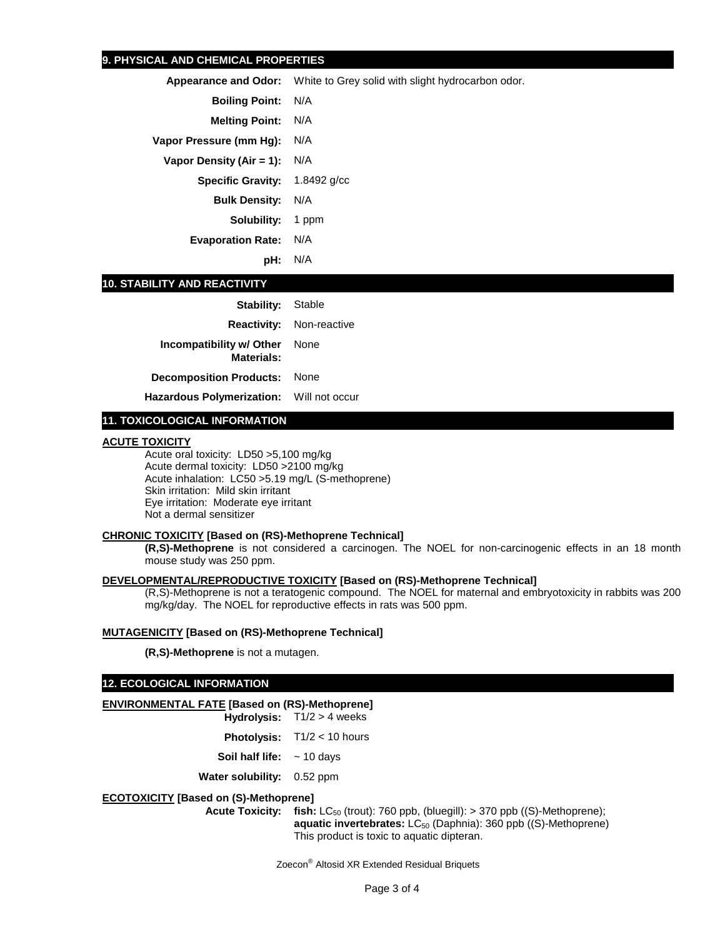## **9. PHYSICAL AND CHEMICAL PROPERTIES**

**Appearance and Odor:** White to Grey solid with slight hydrocarbon odor.

**Boiling Point:** N/A

**Melting Point:** N/A

**Vapor Pressure (mm Hg):** N/A

**Vapor Density (Air = 1):** N/A

**Specific Gravity:** 1.8492 g/cc

**Bulk Density:** N/A

**Solubility:** 1 ppm

**Evaporation Rate:** N/A

**pH:** N/A

### **10. STABILITY AND REACTIVITY**

| <b>Stability:</b> Stable                                  |                                 |
|-----------------------------------------------------------|---------------------------------|
|                                                           | <b>Reactivity:</b> Non-reactive |
| <b>Incompatibility w/ Other</b> None<br><b>Materials:</b> |                                 |
| <b>Decomposition Products: None</b>                       |                                 |
| Hazardous Polymerization: Will not occur                  |                                 |

## **11. TOXICOLOGICAL INFORMATION**

#### **ACUTE TOXICITY**

Acute oral toxicity: LD50 >5,100 mg/kg Acute dermal toxicity: LD50 >2100 mg/kg Acute inhalation: LC50 >5.19 mg/L (S-methoprene) Skin irritation: Mild skin irritant Eye irritation: Moderate eye irritant Not a dermal sensitizer

## **CHRONIC TOXICITY [Based on (RS)-Methoprene Technical]**

**(R,S)-Methoprene** is not considered a carcinogen. The NOEL for non-carcinogenic effects in an 18 month mouse study was 250 ppm.

## **DEVELOPMENTAL/REPRODUCTIVE TOXICITY [Based on (RS)-Methoprene Technical]**

(R,S)-Methoprene is not a teratogenic compound. The NOEL for maternal and embryotoxicity in rabbits was 200 mg/kg/day. The NOEL for reproductive effects in rats was 500 ppm.

#### **MUTAGENICITY [Based on (RS)-Methoprene Technical]**

**(R,S)-Methoprene** is not a mutagen.

## **12. ECOLOGICAL INFORMATION**

## **ENVIRONMENTAL FATE [Based on (RS)-Methoprene]**

**Hydrolysis:** T1/2 > 4 weeks **Photolysis:** T1/2 < 10 hours

- **Soil half life:** ~ 10 days
- **Water solubility:** 0.52 ppm

#### **ECOTOXICITY [Based on (S)-Methoprene]**

**Acute Toxicity:** fish: LC<sub>50</sub> (trout): 760 ppb, (bluegill): > 370 ppb ((S)-Methoprene); **aquatic invertebrates:** LC<sub>50</sub> (Daphnia): 360 ppb ((S)-Methoprene) This product is toxic to aquatic dipteran.

Zoecon® Altosid XR Extended Residual Briquets